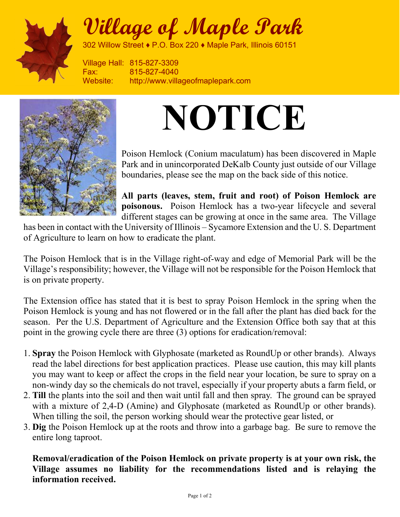

## Village of Maple Park

302 Willow Street ♦ P.O. Box 220 ♦ Maple Park, Illinois 60151

Village Hall: 815-827-3309 Fax: 815-827-4040 Website: http://www.villageofmaplepark.com



## NOTICE

Poison Hemlock (Conium maculatum) has been discovered in Maple Park and in unincorporated DeKalb County just outside of our Village boundaries, please see the map on the back side of this notice.

All parts (leaves, stem, fruit and root) of Poison Hemlock are poisonous. Poison Hemlock has a two-year lifecycle and several different stages can be growing at once in the same area. The Village

has been in contact with the University of Illinois – Sycamore Extension and the U. S. Department of Agriculture to learn on how to eradicate the plant.

The Poison Hemlock that is in the Village right-of-way and edge of Memorial Park will be the Village's responsibility; however, the Village will not be responsible for the Poison Hemlock that is on private property.

The Extension office has stated that it is best to spray Poison Hemlock in the spring when the Poison Hemlock is young and has not flowered or in the fall after the plant has died back for the season. Per the U.S. Department of Agriculture and the Extension Office both say that at this point in the growing cycle there are three (3) options for eradication/removal:

- 1. Spray the Poison Hemlock with Glyphosate (marketed as RoundUp or other brands). Always read the label directions for best application practices. Please use caution, this may kill plants you may want to keep or affect the crops in the field near your location, be sure to spray on a non-windy day so the chemicals do not travel, especially if your property abuts a farm field, or
- 2. Till the plants into the soil and then wait until fall and then spray. The ground can be sprayed with a mixture of 2,4-D (Amine) and Glyphosate (marketed as RoundUp or other brands). When tilling the soil, the person working should wear the protective gear listed, or
- 3. Dig the Poison Hemlock up at the roots and throw into a garbage bag. Be sure to remove the entire long taproot.

Removal/eradication of the Poison Hemlock on private property is at your own risk, the Village assumes no liability for the recommendations listed and is relaying the information received.